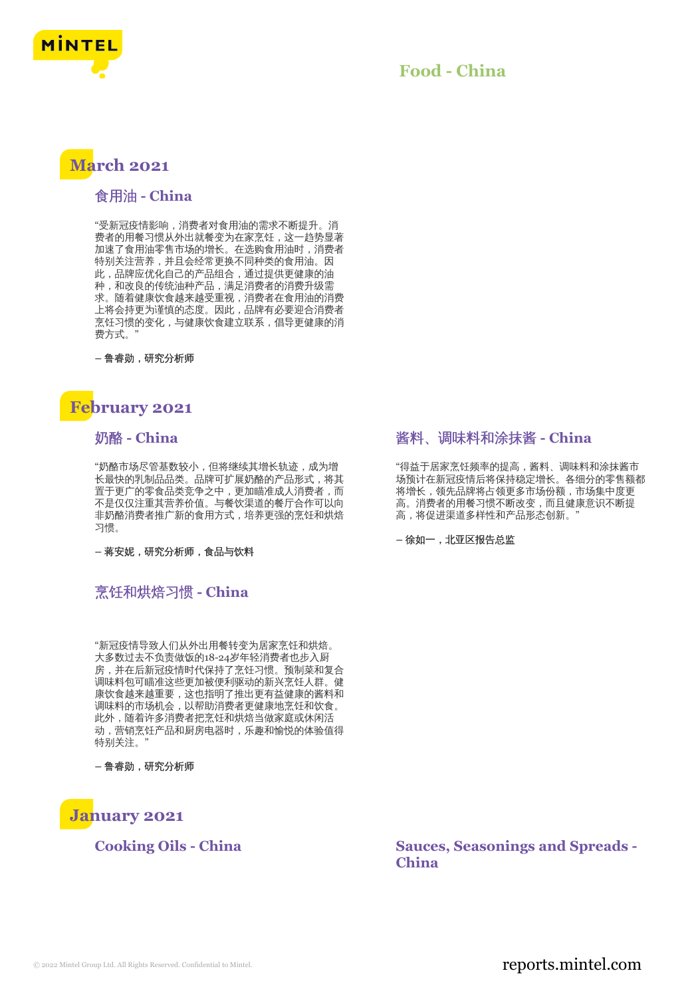

## **Food - China**

# **March 2021**

#### 食用油 **- China**

"受新冠疫情影响,消费者对食用油的需求不断提升。消 费者的用餐习惯从外出就餐变为在家烹饪,这一趋势显著 加速了食用油零售市场的增长。在选购食用油时,消费者 特别关注营养,并且会经常更换不同种类的食用油。因 此,品牌应优化自己的产品组合,通过提供更健康的油 种,和改良的传统油种产品,满足消费者的消费升级需 求。随着健康饮食越来越受重视,消费者在食用油的消费 上将会持更为谨慎的态度。因此,品牌有必要迎合消费者 烹饪习惯的变化,与健康饮食建立联系,倡导更健康的消 费方式。

**–** 鲁睿勋,研究分析师

# **February 2021**

#### 奶酪 **- China**

"奶酪市场尽管基数较小,但将继续其增长轨迹,成为增 长最快的乳制品品类。品牌可扩展奶酪的产品形式,将其 置于更广的零食品类竞争之中,更加瞄准成人消费者,而 不是仅仅注重其营养价值。与餐饮渠道的餐厅合作可以向 非奶酪消费者推广新的食用方式,培养更强的烹饪和烘焙 习惯。

**–** 蒋安妮,研究分析师,食品与饮料

## 烹饪和烘焙习惯 **- China**

"新冠疫情导致人们从外出用餐转变为居家烹饪和烘焙。 大多数过去不负责做饭的18-24岁年轻消费者也步入厨 房,并在后新冠疫情时代保持了烹饪习惯。预制菜和复合 调味料包可瞄准这些更加被便利驱动的新兴烹饪人群。健 康饮食越来越重要,这也指明了推出更有益健康的酱料和 调味料的市场机会,以帮助消费者更健康地烹饪和饮食。 此外,随着许多消费者把烹饪和烘焙当做家庭或休闲活 动,营销烹饪产品和厨房电器时,乐趣和愉悦的体验值得 特别关注。"

**–** 鲁睿勋,研究分析师



#### 酱料、调味料和涂抹酱 **- China**

"得益于居家烹饪频率的提高,酱料、调味料和涂抹酱市 场预计在新冠疫情后将保持稳定增长。各细分的零售额都 将增长,领先品牌将占领更多市场份额,市场集中度更 高。消费者的用餐习惯不断改变,而且健康意识不断提 高,将促进渠道多样性和产品形态创新。

**–** 徐如一,北亚区报告总监

**Cooking Oils - China Sauces, Seasonings and Spreads - China**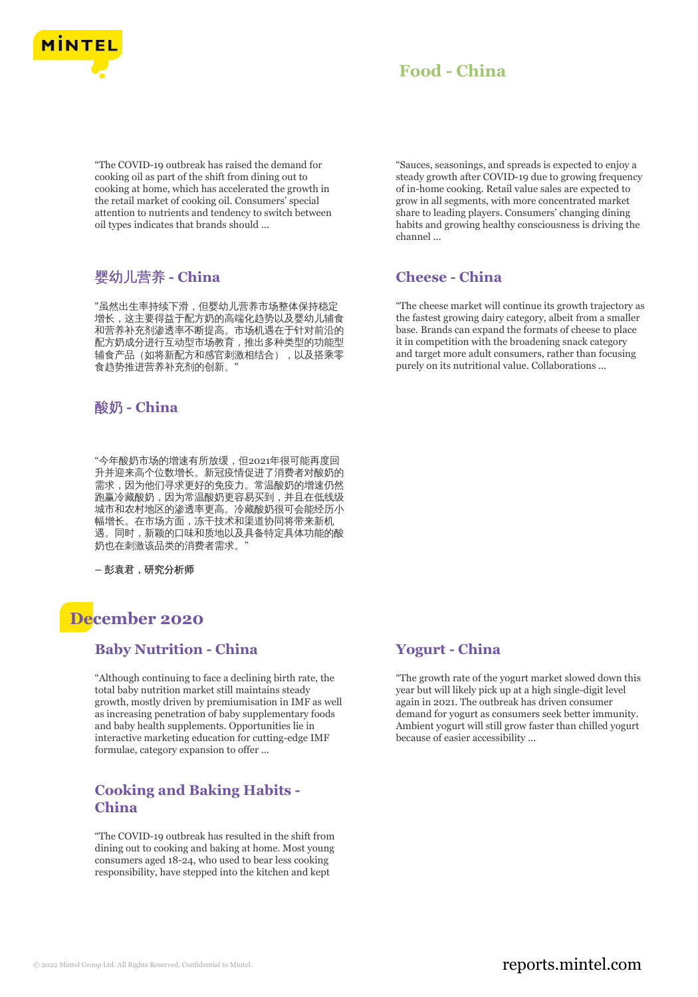

# **Food - China**

"The COVID-19 outbreak has raised the demand for cooking oil as part of the shift from dining out to cooking at home, which has accelerated the growth in the retail market of cooking oil. Consumers' special attention to nutrients and tendency to switch between oil types indicates that brands should ...

## 婴幼儿营养 **- China**

"虽然出生率持续下滑,但婴幼儿营养市场整体保持稳定 增长,这主要得益于配方奶的高端化趋势以及婴幼儿辅食 和营养补充剂渗透率不断提高。市场机遇在于针对前沿的 配方奶成分进行互动型市场教育,推出多种类型的功能型 辅食产品(如将新配方和感官刺激相结合),以及搭乘零 食趋势推进营养补充剂的创新。"

#### 酸奶 **- China**

"今年酸奶市场的增速有所放缓,但2021年很可能再度回 升并迎来高个位数增长。新冠疫情促进了消费者对酸奶的 需求,因为他们寻求更好的免疫力。常温酸奶的增速仍然 跑赢冷藏酸奶,因为常温酸奶更容易买到,并且在低线级 城市和农村地区的渗透率更高。冷藏酸奶很可会能经历小 幅增长。在市场方面,冻干技术和渠道协同将带来新机 遇。同时,新颖的口味和质地以及具备特定具体功能的酸 奶也在刺激该品类的消费者需求。"

**–** 彭袁君,研究分析师

# **December 2020**

#### **Baby Nutrition - China**

"Although continuing to face a declining birth rate, the total baby nutrition market still maintains steady growth, mostly driven by premiumisation in IMF as well as increasing penetration of baby supplementary foods and baby health supplements. Opportunities lie in interactive marketing education for cutting-edge IMF formulae, category expansion to offer ...

### **Cooking and Baking Habits - China**

"The COVID-19 outbreak has resulted in the shift from dining out to cooking and baking at home. Most young consumers aged 18-24, who used to bear less cooking responsibility, have stepped into the kitchen and kept

"Sauces, seasonings, and spreads is expected to enjoy a steady growth after COVID-19 due to growing frequency of in-home cooking. Retail value sales are expected to grow in all segments, with more concentrated market share to leading players. Consumers' changing dining habits and growing healthy consciousness is driving the channel ...

### **Cheese - China**

"The cheese market will continue its growth trajectory as the fastest growing dairy category, albeit from a smaller base. Brands can expand the formats of cheese to place it in competition with the broadening snack category and target more adult consumers, rather than focusing purely on its nutritional value. Collaborations ...

## **Yogurt - China**

"The growth rate of the yogurt market slowed down this year but will likely pick up at a high single-digit level again in 2021. The outbreak has driven consumer demand for yogurt as consumers seek better immunity. Ambient yogurt will still grow faster than chilled yogurt because of easier accessibility ...